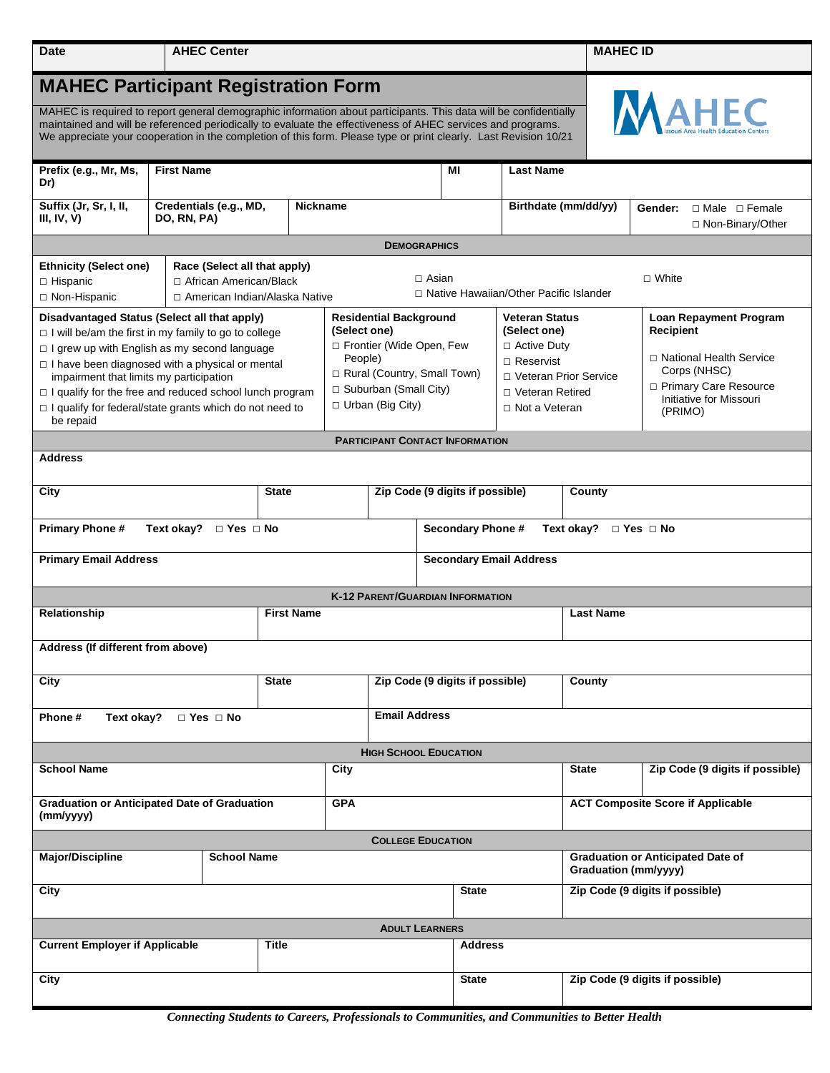| <b>Date</b>                                                                                                                                                                                                                                                                                                                                                                                                              |                                                                                             | <b>AHEC Center</b>                                                                                                                                                     |                 |                                                                                                                                                         |                                         |                                                                                                                                                   |                                                             |                      |                                                                  | <b>MAHEC ID</b> |  |  |  |  |
|--------------------------------------------------------------------------------------------------------------------------------------------------------------------------------------------------------------------------------------------------------------------------------------------------------------------------------------------------------------------------------------------------------------------------|---------------------------------------------------------------------------------------------|------------------------------------------------------------------------------------------------------------------------------------------------------------------------|-----------------|---------------------------------------------------------------------------------------------------------------------------------------------------------|-----------------------------------------|---------------------------------------------------------------------------------------------------------------------------------------------------|-------------------------------------------------------------|----------------------|------------------------------------------------------------------|-----------------|--|--|--|--|
| <b>MAHEC Participant Registration Form</b>                                                                                                                                                                                                                                                                                                                                                                               |                                                                                             |                                                                                                                                                                        |                 |                                                                                                                                                         |                                         |                                                                                                                                                   |                                                             |                      |                                                                  |                 |  |  |  |  |
| ssouri Area Health Education Centers<br>MAHEC is required to report general demographic information about participants. This data will be confidentially<br>maintained and will be referenced periodically to evaluate the effectiveness of AHEC services and programs.<br>We appreciate your cooperation in the completion of this form. Please type or print clearly. Last Revision 10/21                              |                                                                                             |                                                                                                                                                                        |                 |                                                                                                                                                         |                                         |                                                                                                                                                   |                                                             |                      |                                                                  |                 |  |  |  |  |
| <b>First Name</b><br>Prefix (e.g., Mr, Ms,<br>Dr)                                                                                                                                                                                                                                                                                                                                                                        |                                                                                             |                                                                                                                                                                        |                 | ΜI                                                                                                                                                      |                                         |                                                                                                                                                   | <b>Last Name</b>                                            |                      |                                                                  |                 |  |  |  |  |
| Suffix (Jr, Sr, I, II,<br>III, IV, $V$ )                                                                                                                                                                                                                                                                                                                                                                                 | Credentials (e.g., MD,<br>DO, RN, PA)                                                       |                                                                                                                                                                        | <b>Nickname</b> |                                                                                                                                                         |                                         |                                                                                                                                                   |                                                             | Birthdate (mm/dd/yy) | □ Male □ Female<br>Gender:<br>□ Non-Binary/Other                 |                 |  |  |  |  |
| <b>DEMOGRAPHICS</b>                                                                                                                                                                                                                                                                                                                                                                                                      |                                                                                             |                                                                                                                                                                        |                 |                                                                                                                                                         |                                         |                                                                                                                                                   |                                                             |                      |                                                                  |                 |  |  |  |  |
| <b>Ethnicity (Select one)</b><br>$\Box$ Hispanic<br>□ Non-Hispanic                                                                                                                                                                                                                                                                                                                                                       | Race (Select all that apply)<br>□ African American/Black<br>□ American Indian/Alaska Native | $\Box$ Asian<br>□ Native Hawaiian/Other Pacific Islander                                                                                                               |                 |                                                                                                                                                         |                                         |                                                                                                                                                   |                                                             | $\Box$ White         |                                                                  |                 |  |  |  |  |
| Disadvantaged Status (Select all that apply)<br>$\Box$ I will be/am the first in my family to go to college<br>$\Box$ I grew up with English as my second language<br>$\Box$ I have been diagnosed with a physical or mental<br>impairment that limits my participation<br>$\Box$ I qualify for the free and reduced school lunch program<br>$\Box$ I qualify for federal/state grants which do not need to<br>be repaid |                                                                                             | <b>Residential Background</b><br>(Select one)<br>□ Frontier (Wide Open, Few<br>People)<br>Rural (Country, Small Town)<br>□ Suburban (Small City)<br>□ Urban (Big City) |                 | <b>Veteran Status</b><br>(Select one)<br>$\Box$ Active Duty<br>$\Box$ Reservist<br>□ Veteran Prior Service<br>□ Veteran Retired<br>$\Box$ Not a Veteran |                                         | Loan Repayment Program<br>Recipient<br>□ National Health Service<br>Corps (NHSC)<br>□ Primary Care Resource<br>Initiative for Missouri<br>(PRIMO) |                                                             |                      |                                                                  |                 |  |  |  |  |
| <b>PARTICIPANT CONTACT INFORMATION</b>                                                                                                                                                                                                                                                                                                                                                                                   |                                                                                             |                                                                                                                                                                        |                 |                                                                                                                                                         |                                         |                                                                                                                                                   |                                                             |                      |                                                                  |                 |  |  |  |  |
| <b>Address</b>                                                                                                                                                                                                                                                                                                                                                                                                           |                                                                                             |                                                                                                                                                                        |                 |                                                                                                                                                         |                                         |                                                                                                                                                   |                                                             |                      |                                                                  |                 |  |  |  |  |
| City                                                                                                                                                                                                                                                                                                                                                                                                                     |                                                                                             |                                                                                                                                                                        | <b>State</b>    |                                                                                                                                                         | Zip Code (9 digits if possible)         |                                                                                                                                                   |                                                             | County               |                                                                  |                 |  |  |  |  |
| <b>Primary Phone #</b><br>Text okay? $\Box$ Yes $\Box$ No                                                                                                                                                                                                                                                                                                                                                                |                                                                                             |                                                                                                                                                                        |                 |                                                                                                                                                         |                                         |                                                                                                                                                   | <b>Secondary Phone #</b><br>Text okay? $\Box$ Yes $\Box$ No |                      |                                                                  |                 |  |  |  |  |
| <b>Primary Email Address</b><br><b>Secondary Email Address</b>                                                                                                                                                                                                                                                                                                                                                           |                                                                                             |                                                                                                                                                                        |                 |                                                                                                                                                         |                                         |                                                                                                                                                   |                                                             |                      |                                                                  |                 |  |  |  |  |
|                                                                                                                                                                                                                                                                                                                                                                                                                          |                                                                                             |                                                                                                                                                                        |                 |                                                                                                                                                         | <b>K-12 PARENT/GUARDIAN INFORMATION</b> |                                                                                                                                                   |                                                             |                      |                                                                  |                 |  |  |  |  |
| Relationship                                                                                                                                                                                                                                                                                                                                                                                                             |                                                                                             |                                                                                                                                                                        |                 | <b>First Name</b>                                                                                                                                       |                                         |                                                                                                                                                   |                                                             |                      | <b>Last Name</b>                                                 |                 |  |  |  |  |
| Address (If different from above)                                                                                                                                                                                                                                                                                                                                                                                        |                                                                                             |                                                                                                                                                                        |                 |                                                                                                                                                         |                                         |                                                                                                                                                   |                                                             |                      |                                                                  |                 |  |  |  |  |
| City                                                                                                                                                                                                                                                                                                                                                                                                                     |                                                                                             |                                                                                                                                                                        | <b>State</b>    |                                                                                                                                                         |                                         | Zip Code (9 digits if possible)                                                                                                                   |                                                             |                      | County                                                           |                 |  |  |  |  |
| Phone #<br>Text okay?<br>$\Box$ Yes $\Box$ No                                                                                                                                                                                                                                                                                                                                                                            |                                                                                             |                                                                                                                                                                        |                 |                                                                                                                                                         | <b>Email Address</b>                    |                                                                                                                                                   |                                                             |                      |                                                                  |                 |  |  |  |  |
| <b>HIGH SCHOOL EDUCATION</b>                                                                                                                                                                                                                                                                                                                                                                                             |                                                                                             |                                                                                                                                                                        |                 |                                                                                                                                                         |                                         |                                                                                                                                                   |                                                             |                      |                                                                  |                 |  |  |  |  |
| <b>School Name</b>                                                                                                                                                                                                                                                                                                                                                                                                       |                                                                                             |                                                                                                                                                                        | City            |                                                                                                                                                         |                                         |                                                                                                                                                   |                                                             | <b>State</b>         | Zip Code (9 digits if possible)                                  |                 |  |  |  |  |
| <b>Graduation or Anticipated Date of Graduation</b><br>(mm/yyyy)                                                                                                                                                                                                                                                                                                                                                         |                                                                                             |                                                                                                                                                                        |                 | <b>GPA</b>                                                                                                                                              |                                         |                                                                                                                                                   |                                                             |                      | <b>ACT Composite Score if Applicable</b>                         |                 |  |  |  |  |
| <b>COLLEGE EDUCATION</b>                                                                                                                                                                                                                                                                                                                                                                                                 |                                                                                             |                                                                                                                                                                        |                 |                                                                                                                                                         |                                         |                                                                                                                                                   |                                                             |                      |                                                                  |                 |  |  |  |  |
| <b>School Name</b><br><b>Major/Discipline</b>                                                                                                                                                                                                                                                                                                                                                                            |                                                                                             |                                                                                                                                                                        |                 |                                                                                                                                                         |                                         |                                                                                                                                                   |                                                             |                      | <b>Graduation or Anticipated Date of</b><br>Graduation (mm/yyyy) |                 |  |  |  |  |
| City                                                                                                                                                                                                                                                                                                                                                                                                                     |                                                                                             |                                                                                                                                                                        |                 |                                                                                                                                                         | <b>State</b>                            |                                                                                                                                                   |                                                             |                      | Zip Code (9 digits if possible)                                  |                 |  |  |  |  |
| <b>ADULT LEARNERS</b>                                                                                                                                                                                                                                                                                                                                                                                                    |                                                                                             |                                                                                                                                                                        |                 |                                                                                                                                                         |                                         |                                                                                                                                                   |                                                             |                      |                                                                  |                 |  |  |  |  |
| <b>Current Employer if Applicable</b><br><b>Title</b>                                                                                                                                                                                                                                                                                                                                                                    |                                                                                             |                                                                                                                                                                        |                 |                                                                                                                                                         |                                         |                                                                                                                                                   |                                                             | <b>Address</b>       |                                                                  |                 |  |  |  |  |
| City                                                                                                                                                                                                                                                                                                                                                                                                                     |                                                                                             |                                                                                                                                                                        |                 |                                                                                                                                                         |                                         |                                                                                                                                                   |                                                             |                      | Zip Code (9 digits if possible)                                  |                 |  |  |  |  |